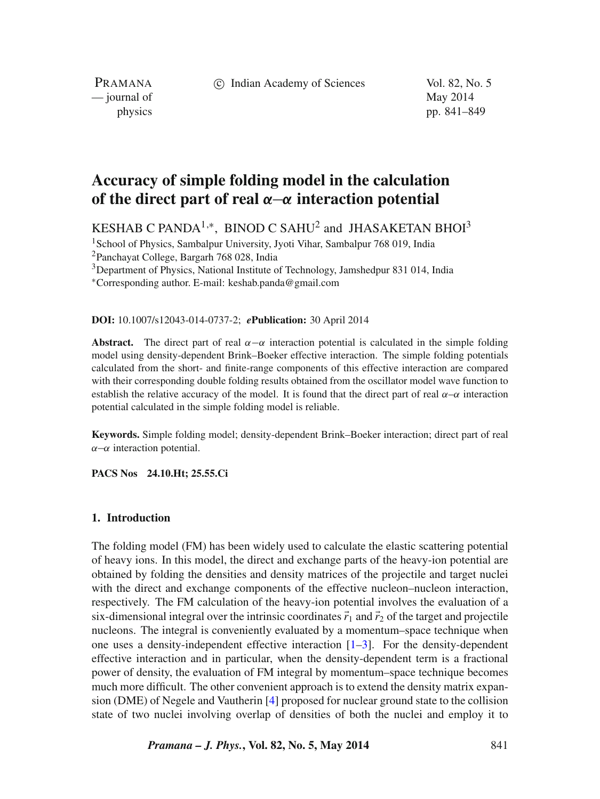c Indian Academy of Sciences Vol. 82, No. 5

PRAMANA — journal of May 2014

physics pp. 841–849

# **Accuracy of simple folding model in the calculation of the direct part of real** *α*−*α* **interaction potential**

KESHAB C PANDA<sup>1,\*</sup>, BINOD C SAHU<sup>2</sup> and JHASAKETAN BHOI<sup>3</sup>

<sup>1</sup>School of Physics, Sambalpur University, Jyoti Vihar, Sambalpur 768 019, India

2Panchayat College, Bargarh 768 028, India

<sup>3</sup>Department of Physics, National Institute of Technology, Jamshedpur 831 014, India

∗Corresponding author. E-mail: keshab.panda@gmail.com

### **DOI:** 10.1007/s12043-014-0737-2; *e***Publication:** 30 April 2014

**Abstract.** The direct part of real  $\alpha - \alpha$  interaction potential is calculated in the simple folding model using density-dependent Brink–Boeker effective interaction. The simple folding potentials calculated from the short- and finite-range components of this effective interaction are compared with their corresponding double folding results obtained from the oscillator model wave function to establish the relative accuracy of the model. It is found that the direct part of real *α*–*α* interaction potential calculated in the simple folding model is reliable.

**Keywords.** Simple folding model; density-dependent Brink–Boeker interaction; direct part of real *α*−*α* interaction potential.

**PACS Nos 24.10.Ht; 25.55.Ci**

# **1. Introduction**

The folding model (FM) has been widely used to calculate the elastic scattering potential of heavy ions. In this model, the direct and exchange parts of the heavy-ion potential are obtained by folding the densities and density matrices of the projectile and target nuclei with the direct and exchange components of the effective nucleon–nucleon interaction, respectively. The FM calculation of the heavy-ion potential involves the evaluation of a six-dimensional integral over the intrinsic coordinates  $\vec{r}_1$  and  $\vec{r}_2$  of the target and projectile nucleons. The integral is conveniently evaluated by a momentum–space technique when one uses a density-independent effective interaction  $[1-3]$  $[1-3]$ . For the density-dependent effective interaction and in particular, when the density-dependent term is a fractional power of density, the evaluation of FM integral by momentum–space technique becomes much more difficult. The other convenient approach is to extend the density matrix expansion (DME) of Negele and Vautherin [\[4\]](#page-8-2) proposed for nuclear ground state to the collision state of two nuclei involving overlap of densities of both the nuclei and employ it to

*Pramana – J. Phys.***, Vol. 82, No. 5, May 2014** 841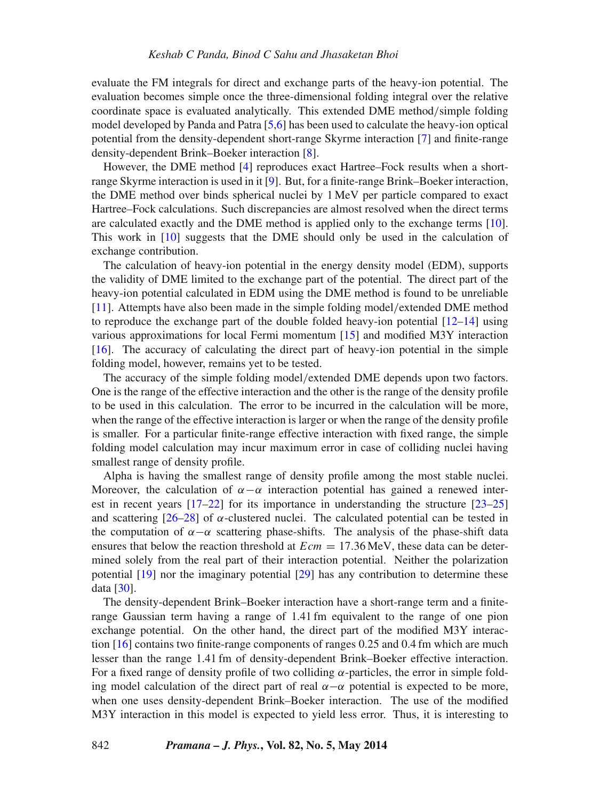evaluate the FM integrals for direct and exchange parts of the heavy-ion potential. The evaluation becomes simple once the three-dimensional folding integral over the relative coordinate space is evaluated analytically. This extended DME method*/*simple folding model developed by Panda and Patra [\[5](#page-8-3)[,6\]](#page-8-4) has been used to calculate the heavy-ion optical potential from the density-dependent short-range Skyrme interaction [\[7\]](#page-8-5) and finite-range density-dependent Brink–Boeker interaction [\[8\]](#page-8-6).

However, the DME method [\[4\]](#page-8-2) reproduces exact Hartree–Fock results when a shortrange Skyrme interaction is used in it [\[9\]](#page-8-7). But, for a finite-range Brink–Boeker interaction, the DME method over binds spherical nuclei by 1 MeV per particle compared to exact Hartree–Fock calculations. Such discrepancies are almost resolved when the direct terms are calculated exactly and the DME method is applied only to the exchange terms [\[10\]](#page-8-8). This work in [\[10\]](#page-8-8) suggests that the DME should only be used in the calculation of exchange contribution.

The calculation of heavy-ion potential in the energy density model (EDM), supports the validity of DME limited to the exchange part of the potential. The direct part of the heavy-ion potential calculated in EDM using the DME method is found to be unreliable [\[11\]](#page-8-9). Attempts have also been made in the simple folding model*/*extended DME method to reproduce the exchange part of the double folded heavy-ion potential [\[12](#page-8-10)[–14\]](#page-8-11) using various approximations for local Fermi momentum [\[15\]](#page-8-12) and modified M3Y interaction [\[16\]](#page-8-13). The accuracy of calculating the direct part of heavy-ion potential in the simple folding model, however, remains yet to be tested.

The accuracy of the simple folding model*/*extended DME depends upon two factors. One is the range of the effective interaction and the other is the range of the density profile to be used in this calculation. The error to be incurred in the calculation will be more, when the range of the effective interaction is larger or when the range of the density profile is smaller. For a particular finite-range effective interaction with fixed range, the simple folding model calculation may incur maximum error in case of colliding nuclei having smallest range of density profile.

Alpha is having the smallest range of density profile among the most stable nuclei. Moreover, the calculation of  $\alpha - \alpha$  interaction potential has gained a renewed interest in recent years [\[17](#page-8-14)[–22\]](#page-8-15) for its importance in understanding the structure [\[23](#page-8-16)[–25\]](#page-8-17) and scattering  $[26-28]$  $[26-28]$  of  $\alpha$ -clustered nuclei. The calculated potential can be tested in the computation of  $\alpha$ − $\alpha$  scattering phase-shifts. The analysis of the phase-shift data ensures that below the reaction threshold at *Ecm* = 17*.*36 MeV, these data can be determined solely from the real part of their interaction potential. Neither the polarization potential [\[19\]](#page-8-20) nor the imaginary potential [\[29\]](#page-8-21) has any contribution to determine these data [\[30\]](#page-8-22).

The density-dependent Brink–Boeker interaction have a short-range term and a finiterange Gaussian term having a range of 1.41 fm equivalent to the range of one pion exchange potential. On the other hand, the direct part of the modified M3Y interaction [\[16\]](#page-8-13) contains two finite-range components of ranges 0.25 and 0.4 fm which are much lesser than the range 1.41 fm of density-dependent Brink–Boeker effective interaction. For a fixed range of density profile of two colliding *α*-particles, the error in simple folding model calculation of the direct part of real  $\alpha$ − $\alpha$  potential is expected to be more, when one uses density-dependent Brink–Boeker interaction. The use of the modified M3Y interaction in this model is expected to yield less error. Thus, it is interesting to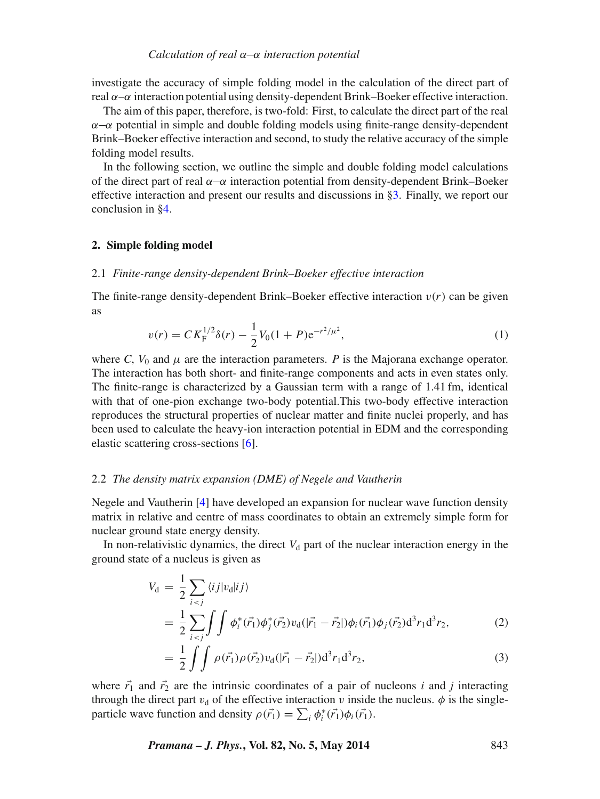investigate the accuracy of simple folding model in the calculation of the direct part of real  $\alpha-\alpha$  interaction potential using density-dependent Brink–Boeker effective interaction.

The aim of this paper, therefore, is two-fold: First, to calculate the direct part of the real *α*−*α* potential in simple and double folding models using finite-range density-dependent Brink–Boeker effective interaction and second, to study the relative accuracy of the simple folding model results.

In the following section, we outline the simple and double folding model calculations of the direct part of real *α*−*α* interaction potential from density-dependent Brink–Boeker effective interaction and present our results and discussions in [§3.](#page-5-0) Finally, we report our conclusion in [§4.](#page-7-0)

### **2. Simple folding model**

#### 2.1 *Finite-range density-dependent Brink–Boeker effective interaction*

<span id="page-2-1"></span>The finite-range density-dependent Brink–Boeker effective interaction  $v(r)$  can be given as

$$
v(r) = C K_{\rm F}^{1/2} \delta(r) - \frac{1}{2} V_0 (1+P) e^{-r^2/\mu^2}, \tag{1}
$$

where *C*,  $V_0$  and  $\mu$  are the interaction parameters. *P* is the Majorana exchange operator. The interaction has both short- and finite-range components and acts in even states only. The finite-range is characterized by a Gaussian term with a range of 1.41 fm, identical with that of one-pion exchange two-body potential.This two-body effective interaction reproduces the structural properties of nuclear matter and finite nuclei properly, and has been used to calculate the heavy-ion interaction potential in EDM and the corresponding elastic scattering cross-sections [\[6\]](#page-8-4).

#### 2.2 *The density matrix expansion (DME) of Negele and Vautherin*

Negele and Vautherin [\[4\]](#page-8-2) have developed an expansion for nuclear wave function density matrix in relative and centre of mass coordinates to obtain an extremely simple form for nuclear ground state energy density.

In non-relativistic dynamics, the direct  $V<sub>d</sub>$  part of the nuclear interaction energy in the ground state of a nucleus is given as

<span id="page-2-0"></span>
$$
V_{\rm d} = \frac{1}{2} \sum_{i < j} \langle i j | v_{\rm d} | i j \rangle
$$
\n
$$
= \frac{1}{2} \sum_{i < j} \int \int \phi_i^* (\vec{r_1}) \phi_j^* (\vec{r_2}) v_{\rm d} (|\vec{r_1} - \vec{r_2}|) \phi_i (\vec{r_1}) \phi_j (\vec{r_2}) \mathrm{d}^3 r_1 \mathrm{d}^3 r_2, \tag{2}
$$

$$
= \frac{1}{2} \int \int \rho(\vec{r_1}) \rho(\vec{r_2}) v_d(|\vec{r_1} - \vec{r_2}|) d^3 r_1 d^3 r_2,
$$
\n(3)

where  $\vec{r}_1$  and  $\vec{r}_2$  are the intrinsic coordinates of a pair of nucleons *i* and *j* interacting through the direct part  $v_d$  of the effective interaction *v* inside the nucleus.  $\phi$  is the singleparticle wave function and density  $\rho(\vec{r}_1) = \sum_i \phi_i^*(\vec{r}_1) \phi_i(\vec{r}_1)$ .

*Pramana – J. Phys.***, Vol. 82, No. 5, May 2014** 843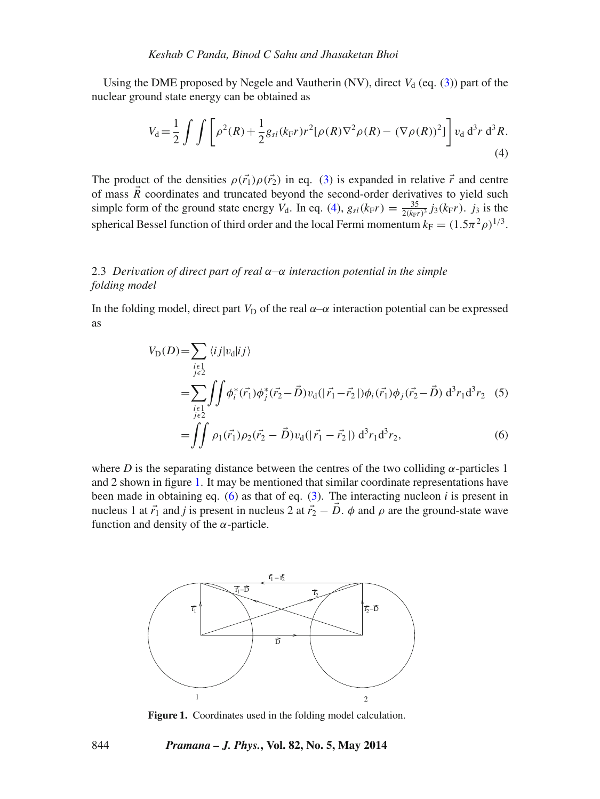Using the DME proposed by Negele and Vautherin (NV), direct  $V_d$  (eq. [\(3\)](#page-2-0)) part of the nuclear ground state energy can be obtained as

<span id="page-3-0"></span>
$$
V_{\rm d} = \frac{1}{2} \int \int \left[ \rho^2(R) + \frac{1}{2} g_{sl}(k_{\rm F}r) r^2 [\rho(R)\nabla^2 \rho(R) - (\nabla \rho(R))^2] \right] v_{\rm d} d^3r d^3R.
$$
\n(4)

The product of the densities  $\rho(\vec{r}_1)\rho(\vec{r}_2)$  in eq. [\(3\)](#page-2-0) is expanded in relative  $\vec{r}$  and centre of mass  $\vec{R}$  coordinates and truncated beyond the second-order derivatives to yield such simple form of the ground state energy  $V_d$ . In eq. [\(4\)](#page-3-0),  $g_{sl}(k_F r) = \frac{35}{2(k_F r)^3} j_3(k_F r)$ .  $j_3$  is the spherical Bessel function of third order and the local Fermi momentum  $k_F = (1.5\pi^2 \rho)^{1/3}$ .

# 2.3 *Derivation of direct part of real α*−*α interaction potential in the simple folding model*

In the folding model, direct part  $V_D$  of the real  $\alpha$ – $\alpha$  interaction potential can be expressed as

<span id="page-3-2"></span>
$$
V_{\text{D}}(D) = \sum_{\substack{i \in I \\ j \in 2}} \langle i j | v_{\text{d}} | i j \rangle
$$
  
= 
$$
\sum_{\substack{i \in I \\ j \in 2}} \iint \phi_i^* (\vec{r_1}) \phi_j^* (\vec{r_2} - \vec{D}) v_{\text{d}} (|\vec{r_1} - \vec{r_2}|) \phi_i (\vec{r_1}) \phi_j (\vec{r_2} - \vec{D}) d^3 r_1 d^3 r_2
$$
 (5)

$$
= \iint \rho_1(\vec{r_1}) \rho_2(\vec{r_2} - \vec{D}) v_d(|\vec{r_1} - \vec{r_2}|) d^3 r_1 d^3 r_2, \tag{6}
$$

where *D* is the separating distance between the centres of the two colliding  $\alpha$ -particles 1 and 2 shown in figure [1.](#page-3-1) It may be mentioned that similar coordinate representations have been made in obtaining eq. [\(6\)](#page-3-2) as that of eq.  $(3)$ . The interacting nucleon *i* is present in nucleus 1 at  $\vec{r}_1$  and *j* is present in nucleus 2 at  $\vec{r}_2 - \vec{D}$ .  $\phi$  and  $\rho$  are the ground-state wave function and density of the *α*-particle.

<span id="page-3-1"></span>

**Figure 1.** Coordinates used in the folding model calculation.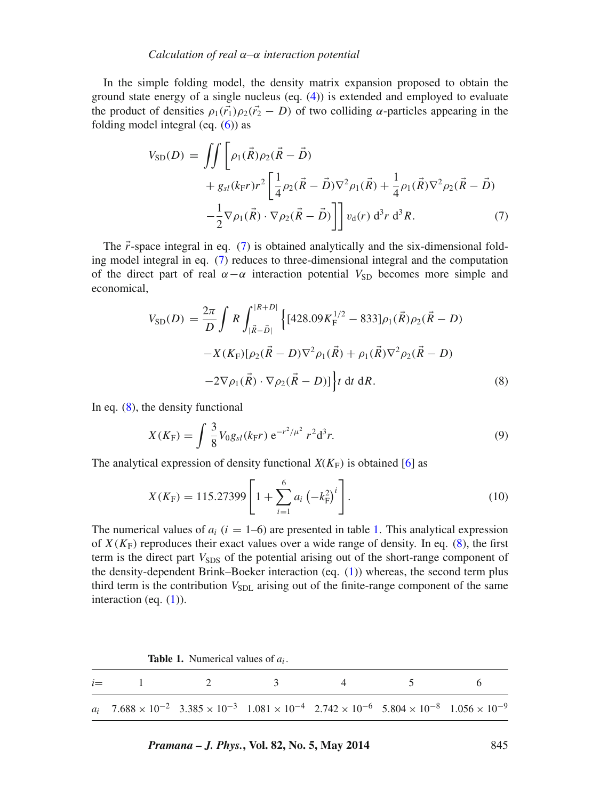In the simple folding model, the density matrix expansion proposed to obtain the ground state energy of a single nucleus (eq. [\(4\)](#page-3-0)) is extended and employed to evaluate the product of densities  $\rho_1(\vec{r}_1)\rho_2(\vec{r}_2 - D)$  of two colliding *α*-particles appearing in the folding model integral (eq.  $(6)$ ) as

<span id="page-4-0"></span>
$$
V_{\text{SD}}(D) = \iint \left[ \rho_1(\vec{R}) \rho_2(\vec{R} - \vec{D}) + g_{sl}(k_{\text{F}}r) r^2 \left[ \frac{1}{4} \rho_2(\vec{R} - \vec{D}) \nabla^2 \rho_1(\vec{R}) + \frac{1}{4} \rho_1(\vec{R}) \nabla^2 \rho_2(\vec{R} - \vec{D}) - \frac{1}{2} \nabla \rho_1(\vec{R}) \cdot \nabla \rho_2(\vec{R} - \vec{D}) \right] \right] v_{\text{d}}(r) d^3r d^3R.
$$
 (7)

The  $\vec{r}$ -space integral in eq. [\(7\)](#page-4-0) is obtained analytically and the six-dimensional folding model integral in eq. [\(7\)](#page-4-0) reduces to three-dimensional integral and the computation of the direct part of real  $\alpha - \alpha$  interaction potential  $V_{SD}$  becomes more simple and economical,

<span id="page-4-1"></span>
$$
V_{\text{SD}}(D) = \frac{2\pi}{D} \int R \int_{|\vec{R}-\vec{D}|}^{|R+D|} \left\{ [428.09K_{\text{F}}^{1/2} - 833] \rho_1(\vec{R}) \rho_2(\vec{R}-D) - X(K_{\text{F}})[\rho_2(\vec{R}-D)\nabla^2 \rho_1(\vec{R}) + \rho_1(\vec{R})\nabla^2 \rho_2(\vec{R}-D) - 2\nabla \rho_1(\vec{R}) \cdot \nabla \rho_2(\vec{R}-D) \right\} t \, \mathrm{d}t \, \mathrm{d}R. \tag{8}
$$

In eq. [\(8\)](#page-4-1), the density functional

$$
X(K_{\rm F}) = \int \frac{3}{8} V_0 g_{sl}(k_{\rm F} r) e^{-r^2/\mu^2} r^2 d^3 r.
$$
 (9)

The analytical expression of density functional  $X(K_F)$  is obtained [\[6\]](#page-8-4) as

$$
X(K_{\rm F}) = 115.27399 \left[ 1 + \sum_{i=1}^{6} a_i \left( -k_{\rm F}^2 \right)^i \right]. \tag{10}
$$

The numerical values of  $a_i$  ( $i = 1-6$ ) are presented in table [1.](#page-4-2) This analytical expression of  $X(K_F)$  reproduces their exact values over a wide range of density. In eq. [\(8\)](#page-4-1), the first term is the direct part  $V_{SDS}$  of the potential arising out of the short-range component of the density-dependent Brink–Boeker interaction (eq. [\(1\)](#page-2-1)) whereas, the second term plus third term is the contribution  $V_{SDL}$  arising out of the finite-range component of the same interaction (eq.  $(1)$ ).

|  | <b>Table 1.</b> Numerical values of $a_i$ . |  |  |
|--|---------------------------------------------|--|--|
|--|---------------------------------------------|--|--|

<span id="page-4-2"></span>

| $i = 1$ 2 3 4 5 6                                                                                                                                                                                     |  |  |  |
|-------------------------------------------------------------------------------------------------------------------------------------------------------------------------------------------------------|--|--|--|
| $a_i$ 7.688 $\times$ 10 <sup>-2</sup> 3.385 $\times$ 10 <sup>-3</sup> 1.081 $\times$ 10 <sup>-4</sup> 2.742 $\times$ 10 <sup>-6</sup> 5.804 $\times$ 10 <sup>-8</sup> 1.056 $\times$ 10 <sup>-9</sup> |  |  |  |

*Pramana – J. Phys.***, Vol. 82, No. 5, May 2014** 845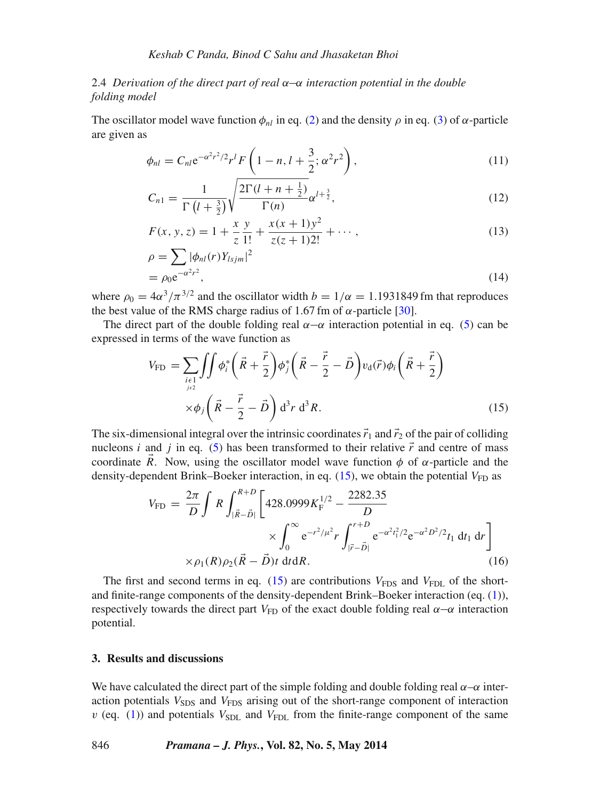# 2.4 *Derivation of the direct part of real α*−*α interaction potential in the double folding model*

The oscillator model wave function  $\phi_{nl}$  in eq. [\(2\)](#page-2-0) and the density  $\rho$  in eq. [\(3\)](#page-2-0) of  $\alpha$ -particle are given as

$$
\phi_{nl} = C_{nl} e^{-\alpha^2 r^2/2} r^l F\left(1 - n, l + \frac{3}{2}; \alpha^2 r^2\right),\tag{11}
$$

$$
C_{n1} = \frac{1}{\Gamma\left(l + \frac{3}{2}\right)} \sqrt{\frac{2\Gamma(l + n + \frac{1}{2})}{\Gamma(n)}} \alpha^{l + \frac{3}{2}},\tag{12}
$$

$$
F(x, y, z) = 1 + \frac{x}{z} \frac{y}{1!} + \frac{x(x+1)y^2}{z(z+1)2!} + \cdots,
$$
\n(13)

$$
\rho = \sum_{\rho_0 e^{-\alpha^2 r^2}} |\phi_{nl}(r)Y_{lsjm}|^2
$$
  
=  $\rho_0 e^{-\alpha^2 r^2}$ , (14)

where  $\rho_0 = 4\alpha^3/\pi^{3/2}$  and the oscillator width  $b = 1/\alpha = 1.1931849$  fm that reproduces the best value of the RMS charge radius of 1.67 fm of  $\alpha$ -particle [\[30\]](#page-8-22).

The direct part of the double folding real  $\alpha-\alpha$  interaction potential in eq. [\(5\)](#page-3-2) can be expressed in terms of the wave function as

<span id="page-5-1"></span>
$$
V_{\text{FD}} = \sum_{\substack{i \in I \\ j \in 2}} \iint \phi_i^* \left( \vec{R} + \frac{\vec{r}}{2} \right) \phi_j^* \left( \vec{R} - \frac{\vec{r}}{2} - \vec{D} \right) v_d(\vec{r}) \phi_i \left( \vec{R} + \frac{\vec{r}}{2} \right)
$$
  
 
$$
\times \phi_j \left( \vec{R} - \frac{\vec{r}}{2} - \vec{D} \right) d^3 r d^3 R.
$$
 (15)

The six-dimensional integral over the intrinsic coordinates  $\vec{r}_1$  and  $\vec{r}_2$  of the pair of colliding nucleons *i* and *j* in eq. [\(5\)](#page-3-2) has been transformed to their relative  $\vec{r}$  and centre of mass coordinate *R*. Now, using the oscillator model wave function  $\phi$  of  $\alpha$ -particle and the density-dependent Brink–Boeker interaction, in eq.  $(15)$ , we obtain the potential  $V_{FD}$  as

<span id="page-5-2"></span>
$$
V_{\rm FD} = \frac{2\pi}{D} \int R \int_{|\vec{R}-\vec{D}|}^{R+D} \left[ 428.0999 K_{\rm F}^{1/2} - \frac{2282.35}{D} \times \int_0^\infty e^{-r^2/\mu^2} r \int_{|\vec{r}-\vec{D}|}^{r+D} e^{-\alpha^2 t_1^2/2} e^{-\alpha^2 D^2/2} t_1 \, \mathrm{d}t_1 \, \mathrm{d}r \right]
$$

$$
\times \rho_1(R) \rho_2(\vec{R}-\vec{D}) t \, \mathrm{d}t \mathrm{d}R. \tag{16}
$$

The first and second terms in eq.  $(15)$  are contributions  $V_{\text{FDS}}$  and  $V_{\text{FDL}}$  of the shortand finite-range components of the density-dependent Brink–Boeker interaction (eq. [\(1\)](#page-2-1)), respectively towards the direct part *V*<sub>FD</sub> of the exact double folding real  $\alpha$ –*α* interaction potential.

### <span id="page-5-0"></span>**3. Results and discussions**

We have calculated the direct part of the simple folding and double folding real *α*–*α* interaction potentials  $V_{SDS}$  and  $V_{FDS}$  arising out of the short-range component of interaction  $v$  (eq. [\(1\)](#page-2-1)) and potentials  $V_{SDL}$  and  $V_{FDL}$  from the finite-range component of the same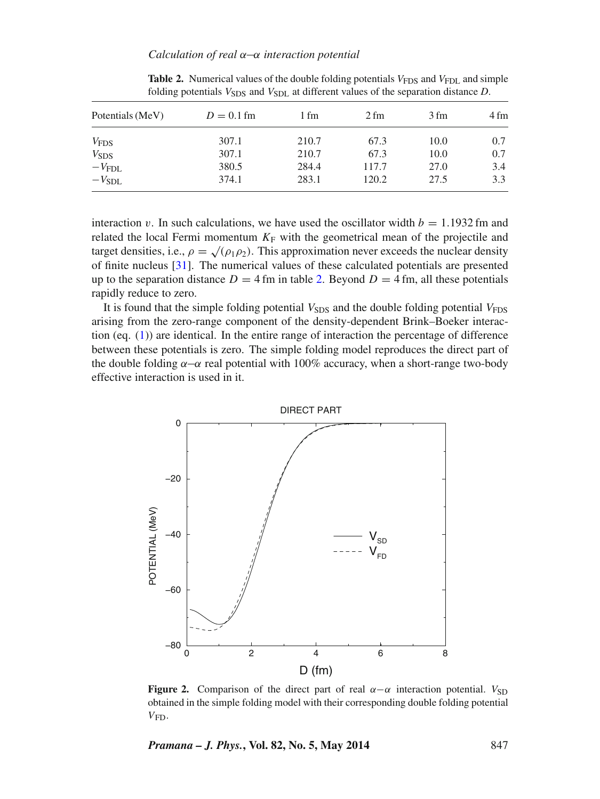<span id="page-6-0"></span>

| Potentials (MeV) | $D = 0.1$ fm | 1 fm  | 2 fm  | 3 fm | 4 fm |
|------------------|--------------|-------|-------|------|------|
| $V_{\text{FDS}}$ | 307.1        | 210.7 | 67.3  | 10.0 | 0.7  |
| $V_{SDS}$        | 307.1        | 210.7 | 67.3  | 10.0 | 0.7  |
| $-VFDL$          | 380.5        | 284.4 | 117.7 | 27.0 | 3.4  |
| $-V_{SDL}$       | 374.1        | 283.1 | 120.2 | 27.5 | 3.3  |

**Table 2.** Numerical values of the double folding potentials *V*<sub>FDS</sub> and *V*<sub>FDL</sub> and simple folding potentials  $V_{SDS}$  and  $V_{SDL}$  at different values of the separation distance *D*.

interaction *v*. In such calculations, we have used the oscillator width  $b = 1.1932$  fm and related the local Fermi momentum  $K_F$  with the geometrical mean of the projectile and target densities, i.e.,  $\rho = \sqrt{\rho_1 \rho_2}$ . This approximation never exceeds the nuclear density of finite nucleus [\[31\]](#page-8-23). The numerical values of these calculated potentials are presented up to the separation distance  $D = 4$  fm in table [2.](#page-6-0) Beyond  $D = 4$  fm, all these potentials rapidly reduce to zero.

It is found that the simple folding potential  $V_{SDS}$  and the double folding potential  $V_{FDS}$ arising from the zero-range component of the density-dependent Brink–Boeker interaction (eq. [\(1\)](#page-2-1)) are identical. In the entire range of interaction the percentage of difference between these potentials is zero. The simple folding model reproduces the direct part of the double folding  $\alpha-\alpha$  real potential with 100% accuracy, when a short-range two-body effective interaction is used in it.

<span id="page-6-1"></span>

**Figure 2.** Comparison of the direct part of real  $\alpha - \alpha$  interaction potential.  $V_{SD}$ obtained in the simple folding model with their corresponding double folding potential *V*FD.

*Pramana – J. Phys.***, Vol. 82, No. 5, May 2014** 847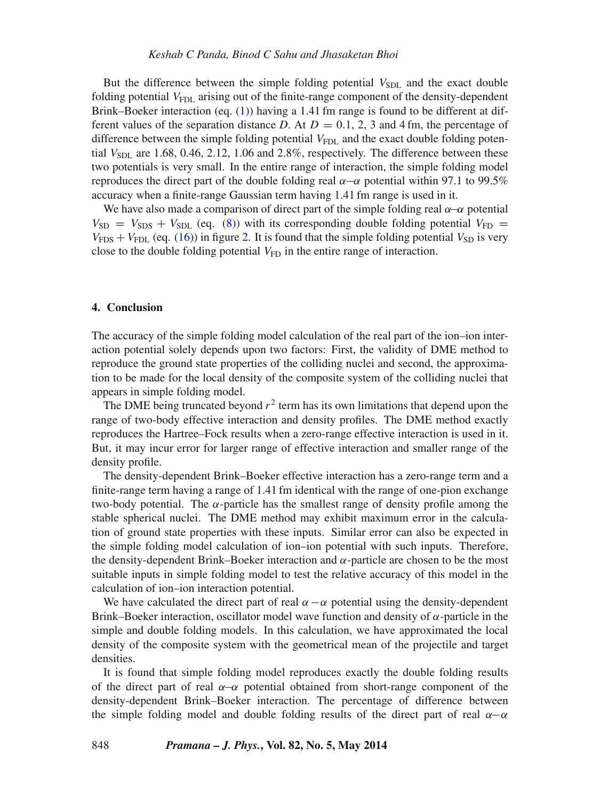But the difference between the simple folding potential  $V_{SDL}$  and the exact double folding potential  $V_{FDL}$  arising out of the finite-range component of the density-dependent Brink–Boeker interaction (eq. [\(1\)](#page-2-1)) having a 1.41 fm range is found to be different at different values of the separation distance *D*. At  $D = 0.1, 2, 3$  and 4 fm, the percentage of difference between the simple folding potential  $V_{\text{FDL}}$  and the exact double folding potential  $V_{SDL}$  are 1.68, 0.46, 2.12, 1.06 and 2.8%, respectively. The difference between these two potentials is very small. In the entire range of interaction, the simple folding model reproduces the direct part of the double folding real *α*−*α* potential within 97.1 to 99.5% accuracy when a finite-range Gaussian term having 1.41 fm range is used in it.

We have also made a comparison of direct part of the simple folding real *α*−*α* potential  $V_{SD}$  =  $V_{SDS}$  +  $V_{SDL}$  (eq. [\(8\)](#page-4-1)) with its corresponding double folding potential  $V_{FD}$  =  $V_{\text{FDS}} + V_{\text{FDL}}$  (eq. [\(16\)](#page-5-2)) in figure [2.](#page-6-1) It is found that the simple folding potential  $V_{\text{SD}}$  is very close to the double folding potential  $V_{FD}$  in the entire range of interaction.

## <span id="page-7-0"></span>**4. Conclusion**

The accuracy of the simple folding model calculation of the real part of the ion–ion interaction potential solely depends upon two factors: First, the validity of DME method to reproduce the ground state properties of the colliding nuclei and second, the approximation to be made for the local density of the composite system of the colliding nuclei that appears in simple folding model.

The DME being truncated beyond  $r^2$  term has its own limitations that depend upon the range of two-body effective interaction and density profiles. The DME method exactly reproduces the Hartree–Fock results when a zero-range effective interaction is used in it. But, it may incur error for larger range of effective interaction and smaller range of the density profile.

The density-dependent Brink–Boeker effective interaction has a zero-range term and a finite-range term having a range of 1.41 fm identical with the range of one-pion exchange two-body potential. The  $\alpha$ -particle has the smallest range of density profile among the stable spherical nuclei. The DME method may exhibit maximum error in the calculation of ground state properties with these inputs. Similar error can also be expected in the simple folding model calculation of ion–ion potential with such inputs. Therefore, the density-dependent Brink–Boeker interaction and  $α$ -particle are chosen to be the most suitable inputs in simple folding model to test the relative accuracy of this model in the calculation of ion–ion interaction potential.

We have calculated the direct part of real  $\alpha - \alpha$  potential using the density-dependent Brink–Boeker interaction, oscillator model wave function and density of *α*-particle in the simple and double folding models. In this calculation, we have approximated the local density of the composite system with the geometrical mean of the projectile and target densities.

It is found that simple folding model reproduces exactly the double folding results of the direct part of real *α*−*α* potential obtained from short-range component of the density-dependent Brink–Boeker interaction. The percentage of difference between the simple folding model and double folding results of the direct part of real  $\alpha-\alpha$